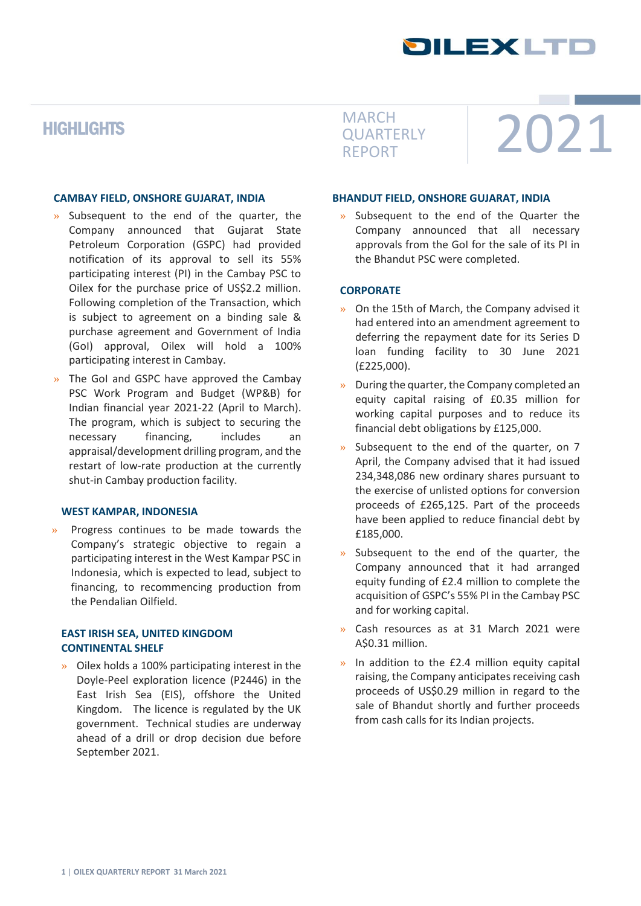## **SILEXLIF**

## **HIGHLIGHTS**

#### **CAMBAY FIELD, ONSHORE GUJARAT, INDIA**

- » Subsequent to the end of the quarter, the Company announced that Gujarat State Petroleum Corporation (GSPC) had provided notification of its approval to sell its 55% participating interest (PI) in the Cambay PSC to Oilex for the purchase price of US\$2.2 million. Following completion of the Transaction, which is subject to agreement on a binding sale & purchase agreement and Government of India (GoI) approval, Oilex will hold a 100% participating interest in Cambay.
- » The GoI and GSPC have approved the Cambay PSC Work Program and Budget (WP&B) for Indian financial year 2021-22 (April to March). The program, which is subject to securing the necessary financing, includes an appraisal/development drilling program, and the restart of low-rate production at the currently shut-in Cambay production facility.

#### **WEST KAMPAR, INDONESIA**

» Progress continues to be made towards the Company's strategic objective to regain a participating interest in the West Kampar PSC in Indonesia, which is expected to lead, subject to financing, to recommencing production from the Pendalian Oilfield.

#### **EAST IRISH SEA, UNITED KINGDOM CONTINENTAL SHELF**

» Oilex holds a 100% participating interest in the Doyle-Peel exploration licence (P2446) in the East Irish Sea (EIS), offshore the United Kingdom. The licence is regulated by the UK government. Technical studies are underway ahead of a drill or drop decision due before September 2021.

**QUARTERLY** REPORT

# MARCH<br>QUARTERLY 2021

#### **BHANDUT FIELD, ONSHORE GUJARAT, INDIA**

» Subsequent to the end of the Quarter the Company announced that all necessary approvals from the GoI for the sale of its PI in the Bhandut PSC were completed.

#### **CORPORATE**

- » On the 15th of March, the Company advised it had entered into an amendment agreement to deferring the repayment date for its Series D loan funding facility to 30 June 2021 (£225,000).
- » During the quarter, the Company completed an equity capital raising of £0.35 million for working capital purposes and to reduce its financial debt obligations by £125,000.
- Subsequent to the end of the quarter, on 7 April, the Company advised that it had issued 234,348,086 new ordinary shares pursuant to the exercise of unlisted options for conversion proceeds of £265,125. Part of the proceeds have been applied to reduce financial debt by £185,000.
- Subsequent to the end of the quarter, the Company announced that it had arranged equity funding of £2.4 million to complete the acquisition of GSPC's 55% PI in the Cambay PSC and for working capital.
- » Cash resources as at 31 March 2021 were A\$0.31 million.
- » In addition to the £2.4 million equity capital raising, the Company anticipates receiving cash proceeds of US\$0.29 million in regard to the sale of Bhandut shortly and further proceeds from cash calls for its Indian projects.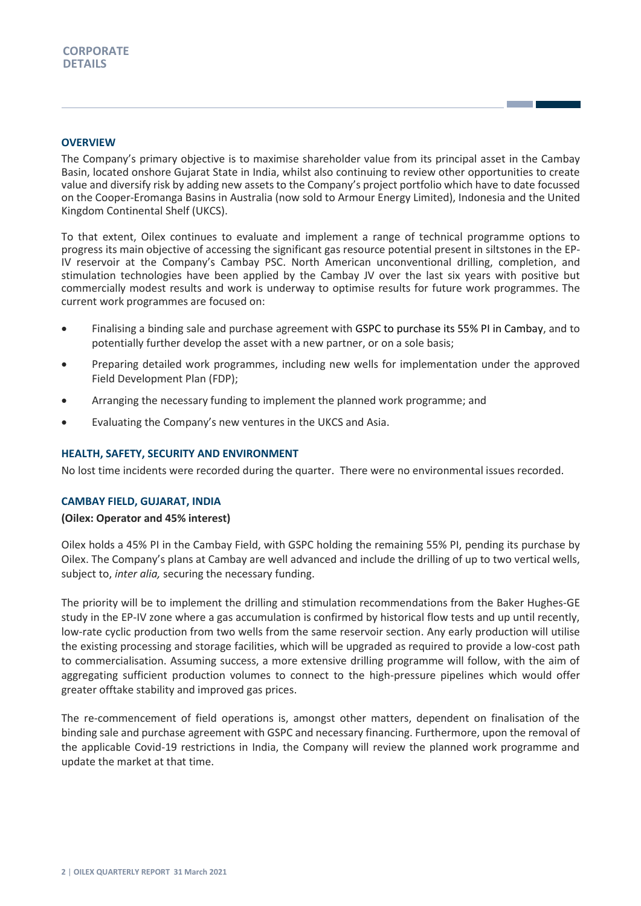#### **OVERVIEW**

The Company's primary objective is to maximise shareholder value from its principal asset in the Cambay Basin, located onshore Gujarat State in India, whilst also continuing to review other opportunities to create value and diversify risk by adding new assets to the Company's project portfolio which have to date focussed on the Cooper-Eromanga Basins in Australia (now sold to Armour Energy Limited), Indonesia and the United Kingdom Continental Shelf (UKCS).

To that extent, Oilex continues to evaluate and implement a range of technical programme options to progress its main objective of accessing the significant gas resource potential present in siltstones in the EP-IV reservoir at the Company's Cambay PSC. North American unconventional drilling, completion, and stimulation technologies have been applied by the Cambay JV over the last six years with positive but commercially modest results and work is underway to optimise results for future work programmes. The current work programmes are focused on:

- Finalising a binding sale and purchase agreement with GSPC to purchase its 55% PI in Cambay, and to potentially further develop the asset with a new partner, or on a sole basis;
- Preparing detailed work programmes, including new wells for implementation under the approved Field Development Plan (FDP);
- Arranging the necessary funding to implement the planned work programme; and
- Evaluating the Company's new ventures in the UKCS and Asia.

#### **HEALTH, SAFETY, SECURITY AND ENVIRONMENT**

No lost time incidents were recorded during the quarter. There were no environmental issues recorded.

#### **CAMBAY FIELD, GUJARAT, INDIA**

#### **(Oilex: Operator and 45% interest)**

Oilex holds a 45% PI in the Cambay Field, with GSPC holding the remaining 55% PI, pending its purchase by Oilex. The Company's plans at Cambay are well advanced and include the drilling of up to two vertical wells, subject to, *inter alia,* securing the necessary funding.

The priority will be to implement the drilling and stimulation recommendations from the Baker Hughes-GE study in the EP-IV zone where a gas accumulation is confirmed by historical flow tests and up until recently, low-rate cyclic production from two wells from the same reservoir section. Any early production will utilise the existing processing and storage facilities, which will be upgraded as required to provide a low-cost path to commercialisation. Assuming success, a more extensive drilling programme will follow, with the aim of aggregating sufficient production volumes to connect to the high-pressure pipelines which would offer greater offtake stability and improved gas prices.

The re-commencement of field operations is, amongst other matters, dependent on finalisation of the binding sale and purchase agreement with GSPC and necessary financing. Furthermore, upon the removal of the applicable Covid-19 restrictions in India, the Company will review the planned work programme and update the market at that time.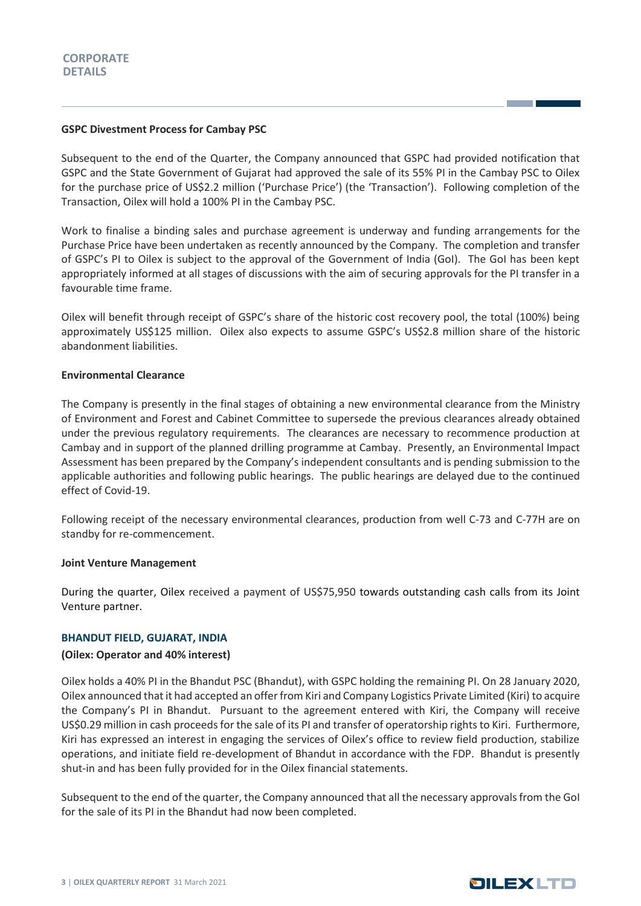#### **GSPC Divestment Process for Cambay PSC**

Subsequent to the end of the Quarter, the Company announced that GSPC had provided notification that GSPC and the State Government of Gujarat had approved the sale of its 55% PI in the Cambay PSC to Oilex for the purchase price of US\$2.2 million ('Purchase Price') (the 'Transaction'). Following completion of the Transaction, Oilex will hold a 100% PI in the Cambay PSC.

Work to finalise a binding sales and purchase agreement is underway and funding arrangements for the Purchase Price have been undertaken as recently announced by the Company. The completion and transfer of GSPC's PI to Oilex is subject to the approval of the Government of India (GoI). The GoI has been kept appropriately informed at all stages of discussions with the aim of securing approvals for the PI transfer in a favourable time frame.

Oilex will benefit through receipt of GSPC's share of the historic cost recovery pool, the total (100%) being approximately US\$125 million. Oilex also expects to assume GSPC's US\$2.8 million share of the historic abandonment liabilities.

#### **Environmental Clearance**

The Company is presently in the final stages of obtaining a new environmental clearance from the Ministry of Environment and Forest and Cabinet Committee to supersede the previous clearances already obtained under the previous regulatory requirements. The clearances are necessary to recommence production at Cambay and in support of the planned drilling programme at Cambay. Presently, an Environmental Impact Assessment has been prepared by the Company's independent consultants and is pending submission to the applicable authorities and following public hearings. The public hearings are delayed due to the continued effect of Covid-19.

Following receipt of the necessary environmental clearances, production from well C-73 and C-77H are on standby for re-commencement.

#### **Joint Venture Management**

During the quarter, Oilex received a payment of US\$75,950 towards outstanding cash calls from its Joint Venture partner.

#### **BHANDUT FIELD, GUJARAT, INDIA**

#### **(Oilex: Operator and 40% interest)**

Oilex holds a 40% PI in the Bhandut PSC (Bhandut), with GSPC holding the remaining PI. On 28 January 2020, Oilex announced that it had accepted an offer from Kiri and Company Logistics Private Limited (Kiri) to acquire the Company's PI in Bhandut. Pursuant to the agreement entered with Kiri, the Company will receive US\$0.29 million in cash proceeds for the sale of its PI and transfer of operatorship rights to Kiri. Furthermore, Kiri has expressed an interest in engaging the services of Oilex's office to review field production, stabilize operations, and initiate field re-development of Bhandut in accordance with the FDP. Bhandut is presently shut-in and has been fully provided for in the Oilex financial statements.

Subsequent to the end of the quarter, the Company announced that all the necessary approvals from the GoI for the sale of its PI in the Bhandut had now been completed.

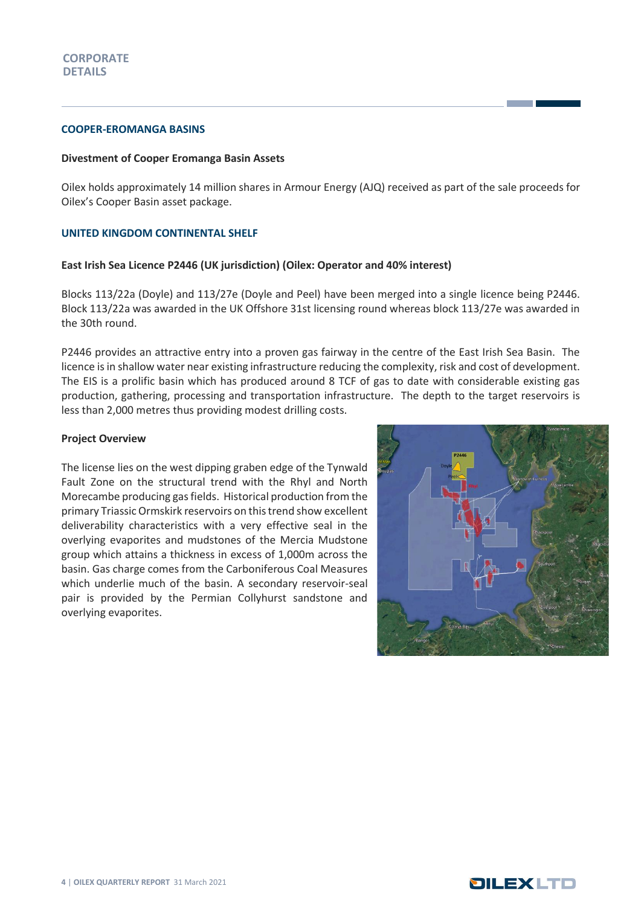#### **COOPER-EROMANGA BASINS**

#### **Divestment of Cooper Eromanga Basin Assets**

Oilex holds approximately 14 million shares in Armour Energy (AJQ) received as part of the sale proceeds for Oilex's Cooper Basin asset package.

#### **UNITED KINGDOM CONTINENTAL SHELF**

#### **East Irish Sea Licence P2446 (UK jurisdiction) (Oilex: Operator and 40% interest)**

Blocks 113/22a (Doyle) and 113/27e (Doyle and Peel) have been merged into a single licence being P2446. Block 113/22a was awarded in the UK Offshore 31st licensing round whereas block 113/27e was awarded in the 30th round.

P2446 provides an attractive entry into a proven gas fairway in the centre of the East Irish Sea Basin. The licence is in shallow water near existing infrastructure reducing the complexity, risk and cost of development. The EIS is a prolific basin which has produced around 8 TCF of gas to date with considerable existing gas production, gathering, processing and transportation infrastructure. The depth to the target reservoirs is less than 2,000 metres thus providing modest drilling costs.

#### **Project Overview**

The license lies on the west dipping graben edge of the Tynwald Fault Zone on the structural trend with the Rhyl and North Morecambe producing gas fields. Historical production from the primary Triassic Ormskirk reservoirs on this trend show excellent deliverability characteristics with a very effective seal in the overlying evaporites and mudstones of the Mercia Mudstone group which attains a thickness in excess of 1,000m across the basin. Gas charge comes from the Carboniferous Coal Measures which underlie much of the basin. A secondary reservoir-seal pair is provided by the Permian Collyhurst sandstone and overlying evaporites.



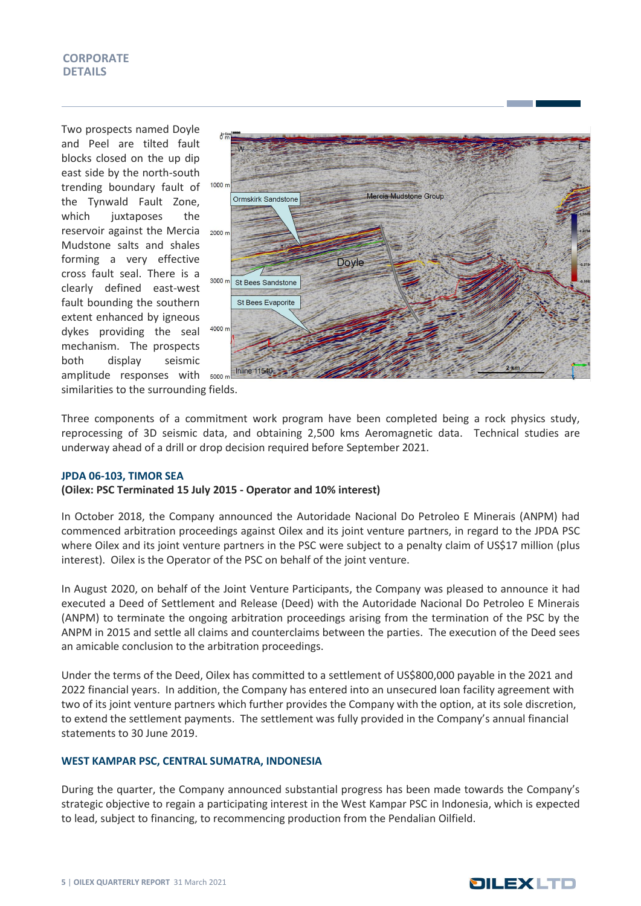Two prospects named Doyle and Peel are tilted fault blocks closed on the up dip east side by the north-south trending boundary fault of the Tynwald Fault Zone, which juxtaposes the reservoir against the Mercia <sub>2000 n</sub> Mudstone salts and shales forming a very effective cross fault seal. There is a clearly defined east-west fault bounding the southern extent enhanced by igneous dykes providing the seal mechanism. The prospects both display seismic amplitude responses with  $5000 \text{ m}$ 



similarities to the surrounding fields.

Three components of a commitment work program have been completed being a rock physics study, reprocessing of 3D seismic data, and obtaining 2,500 kms Aeromagnetic data. Technical studies are underway ahead of a drill or drop decision required before September 2021.

#### **JPDA 06-103, TIMOR SEA**

#### **(Oilex: PSC Terminated 15 July 2015 - Operator and 10% interest)**

In October 2018, the Company announced the Autoridade Nacional Do Petroleo E Minerais (ANPM) had commenced arbitration proceedings against Oilex and its joint venture partners, in regard to the JPDA PSC where Oilex and its joint venture partners in the PSC were subject to a penalty claim of US\$17 million (plus interest). Oilex is the Operator of the PSC on behalf of the joint venture.

In August 2020, on behalf of the Joint Venture Participants, the Company was pleased to announce it had executed a Deed of Settlement and Release (Deed) with the Autoridade Nacional Do Petroleo E Minerais (ANPM) to terminate the ongoing arbitration proceedings arising from the termination of the PSC by the ANPM in 2015 and settle all claims and counterclaims between the parties. The execution of the Deed sees an amicable conclusion to the arbitration proceedings.

Under the terms of the Deed, Oilex has committed to a settlement of US\$800,000 payable in the 2021 and 2022 financial years. In addition, the Company has entered into an unsecured loan facility agreement with two of its joint venture partners which further provides the Company with the option, at its sole discretion, to extend the settlement payments. The settlement was fully provided in the Company's annual financial statements to 30 June 2019.

#### **WEST KAMPAR PSC, CENTRAL SUMATRA, INDONESIA**

During the quarter, the Company announced substantial progress has been made towards the Company's strategic objective to regain a participating interest in the West Kampar PSC in Indonesia, which is expected to lead, subject to financing, to recommencing production from the Pendalian Oilfield.

### **DILEXLTD**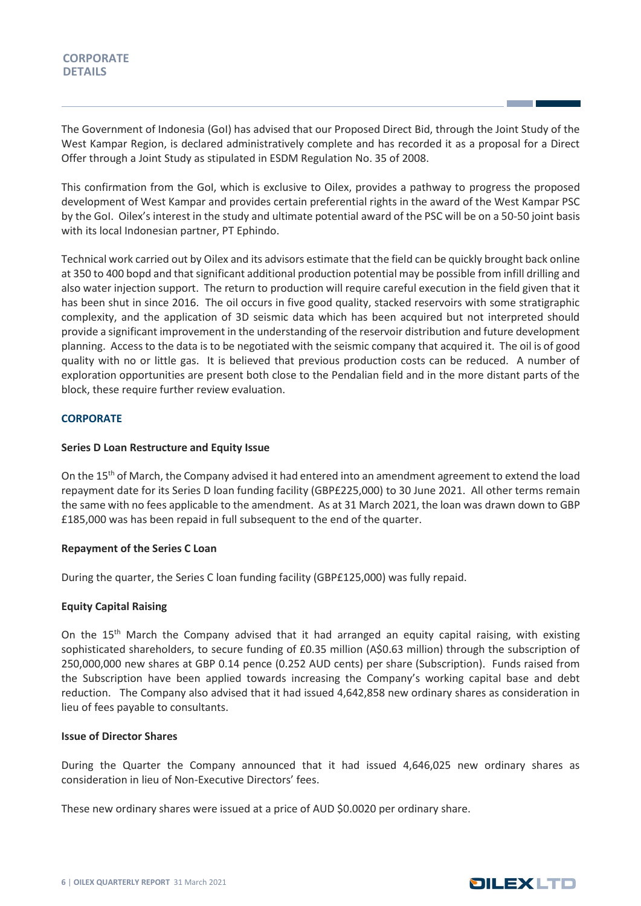#### **CORPORATE DETAILS**

The Government of Indonesia (GoI) has advised that our Proposed Direct Bid, through the Joint Study of the West Kampar Region, is declared administratively complete and has recorded it as a proposal for a Direct Offer through a Joint Study as stipulated in ESDM Regulation No. 35 of 2008.

This confirmation from the GoI, which is exclusive to Oilex, provides a pathway to progress the proposed development of West Kampar and provides certain preferential rights in the award of the West Kampar PSC by the GoI. Oilex's interest in the study and ultimate potential award of the PSC will be on a 50-50 joint basis with its local Indonesian partner, PT Ephindo.

Technical work carried out by Oilex and its advisors estimate that the field can be quickly brought back online at 350 to 400 bopd and that significant additional production potential may be possible from infill drilling and also water injection support. The return to production will require careful execution in the field given that it has been shut in since 2016. The oil occurs in five good quality, stacked reservoirs with some stratigraphic complexity, and the application of 3D seismic data which has been acquired but not interpreted should provide a significant improvement in the understanding of the reservoir distribution and future development planning. Access to the data is to be negotiated with the seismic company that acquired it. The oil is of good quality with no or little gas. It is believed that previous production costs can be reduced. A number of exploration opportunities are present both close to the Pendalian field and in the more distant parts of the block, these require further review evaluation.

#### **CORPORATE**

#### **Series D Loan Restructure and Equity Issue**

On the 15<sup>th</sup> of March, the Company advised it had entered into an amendment agreement to extend the load repayment date for its Series D loan funding facility (GBP£225,000) to 30 June 2021. All other terms remain the same with no fees applicable to the amendment. As at 31 March 2021, the loan was drawn down to GBP £185,000 was has been repaid in full subsequent to the end of the quarter.

#### **Repayment of the Series C Loan**

During the quarter, the Series C loan funding facility (GBP£125,000) was fully repaid.

#### **Equity Capital Raising**

On the 15<sup>th</sup> March the Company advised that it had arranged an equity capital raising, with existing sophisticated shareholders, to secure funding of £0.35 million (A\$0.63 million) through the subscription of 250,000,000 new shares at GBP 0.14 pence (0.252 AUD cents) per share (Subscription). Funds raised from the Subscription have been applied towards increasing the Company's working capital base and debt reduction. The Company also advised that it had issued 4,642,858 new ordinary shares as consideration in lieu of fees payable to consultants.

#### **Issue of Director Shares**

During the Quarter the Company announced that it had issued 4,646,025 new ordinary shares as consideration in lieu of Non-Executive Directors' fees.

These new ordinary shares were issued at a price of AUD \$0.0020 per ordinary share.

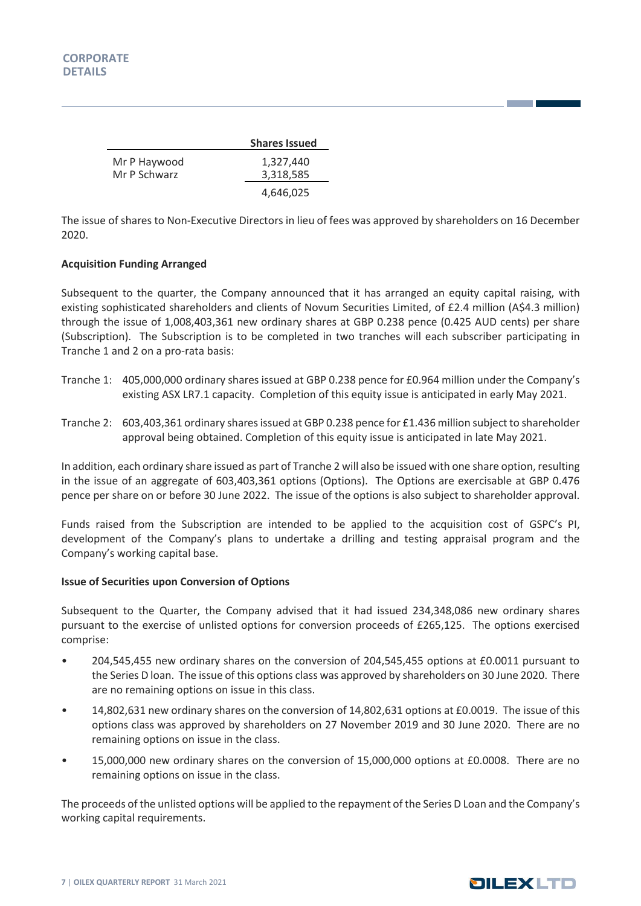|                              | <b>Shares Issued</b>   |
|------------------------------|------------------------|
| Mr P Haywood<br>Mr P Schwarz | 1,327,440<br>3,318,585 |
|                              | 4,646,025              |

The issue of shares to Non-Executive Directors in lieu of fees was approved by shareholders on 16 December 2020.

#### **Acquisition Funding Arranged**

Subsequent to the quarter, the Company announced that it has arranged an equity capital raising, with existing sophisticated shareholders and clients of Novum Securities Limited, of £2.4 million (A\$4.3 million) through the issue of 1,008,403,361 new ordinary shares at GBP 0.238 pence (0.425 AUD cents) per share (Subscription). The Subscription is to be completed in two tranches will each subscriber participating in Tranche 1 and 2 on a pro-rata basis:

- Tranche 1: 405,000,000 ordinary shares issued at GBP 0.238 pence for £0.964 million under the Company's existing ASX LR7.1 capacity. Completion of this equity issue is anticipated in early May 2021.
- Tranche 2: 603,403,361 ordinary shares issued at GBP 0.238 pence for £1.436 million subject to shareholder approval being obtained. Completion of this equity issue is anticipated in late May 2021.

In addition, each ordinary share issued as part of Tranche 2 will also be issued with one share option, resulting in the issue of an aggregate of 603,403,361 options (Options). The Options are exercisable at GBP 0.476 pence per share on or before 30 June 2022. The issue of the options is also subject to shareholder approval.

Funds raised from the Subscription are intended to be applied to the acquisition cost of GSPC's PI, development of the Company's plans to undertake a drilling and testing appraisal program and the Company's working capital base.

#### **Issue of Securities upon Conversion of Options**

Subsequent to the Quarter, the Company advised that it had issued 234,348,086 new ordinary shares pursuant to the exercise of unlisted options for conversion proceeds of £265,125. The options exercised comprise:

- 204,545,455 new ordinary shares on the conversion of 204,545,455 options at £0.0011 pursuant to the Series D loan. The issue of this options class was approved by shareholders on 30 June 2020. There are no remaining options on issue in this class.
- 14,802,631 new ordinary shares on the conversion of 14,802,631 options at £0.0019. The issue of this options class was approved by shareholders on 27 November 2019 and 30 June 2020. There are no remaining options on issue in the class.
- 15,000,000 new ordinary shares on the conversion of 15,000,000 options at £0.0008. There are no remaining options on issue in the class.

The proceeds of the unlisted options will be applied to the repayment of the Series D Loan and the Company's working capital requirements.



**The Common**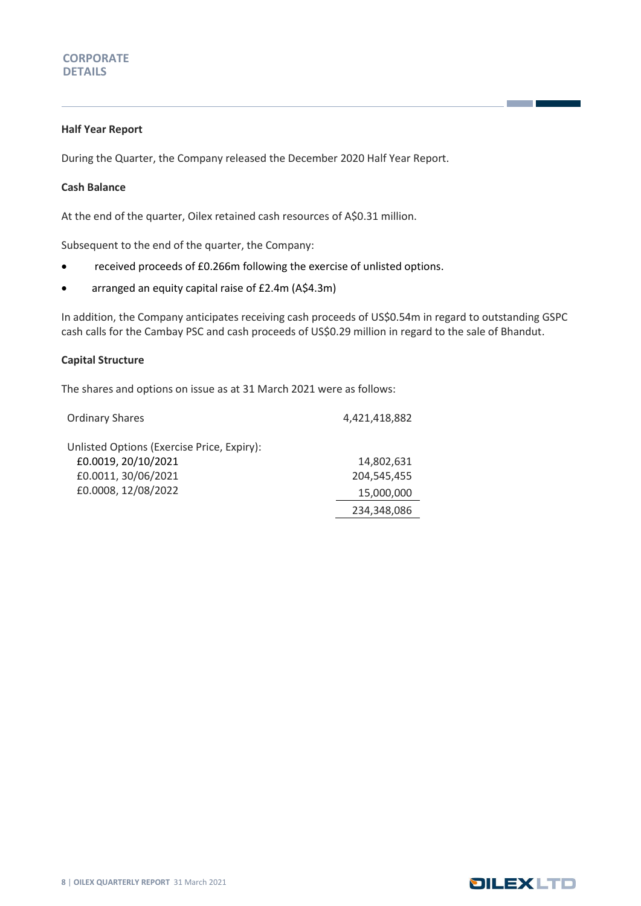#### **Half Year Report**

During the Quarter, the Company released the December 2020 Half Year Report.

#### **Cash Balance**

At the end of the quarter, Oilex retained cash resources of A\$0.31 million.

Subsequent to the end of the quarter, the Company:

- received proceeds of £0.266m following the exercise of unlisted options.
- arranged an equity capital raise of £2.4m (A\$4.3m)

In addition, the Company anticipates receiving cash proceeds of US\$0.54m in regard to outstanding GSPC cash calls for the Cambay PSC and cash proceeds of US\$0.29 million in regard to the sale of Bhandut.

#### **Capital Structure**

The shares and options on issue as at 31 March 2021 were as follows:

| <b>Ordinary Shares</b>                     | 4,421,418,882 |
|--------------------------------------------|---------------|
| Unlisted Options (Exercise Price, Expiry): |               |
| £0.0019, 20/10/2021                        | 14,802,631    |
| £0.0011, 30/06/2021                        | 204.545.455   |
| £0.0008, 12/08/2022                        | 15,000,000    |
|                                            | 234,348,086   |



**The Common Service**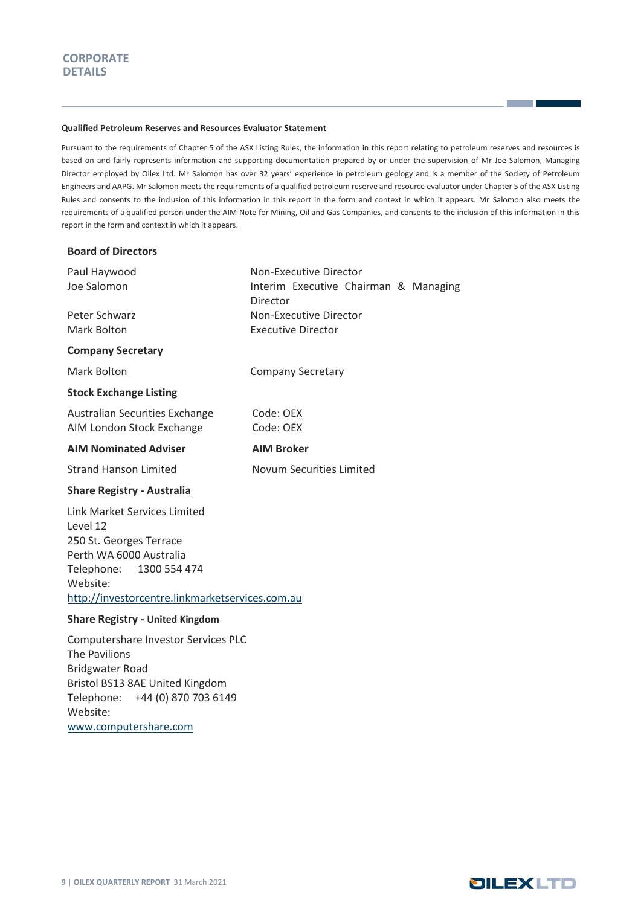#### **Qualified Petroleum Reserves and Resources Evaluator Statement**

Pursuant to the requirements of Chapter 5 of the ASX Listing Rules, the information in this report relating to petroleum reserves and resources is based on and fairly represents information and supporting documentation prepared by or under the supervision of Mr Joe Salomon, Managing Director employed by Oilex Ltd. Mr Salomon has over 32 years' experience in petroleum geology and is a member of the Society of Petroleum Engineers and AAPG. Mr Salomon meets the requirements of a qualified petroleum reserve and resource evaluator under Chapter 5 of the ASX Listing Rules and consents to the inclusion of this information in this report in the form and context in which it appears. Mr Salomon also meets the requirements of a qualified person under the AIM Note for Mining, Oil and Gas Companies, and consents to the inclusion of this information in this report in the form and context in which it appears.

| <b>Board of Directors</b>                                                                                                                                                                   |                                                                             |  |
|---------------------------------------------------------------------------------------------------------------------------------------------------------------------------------------------|-----------------------------------------------------------------------------|--|
| Paul Haywood<br>Joe Salomon                                                                                                                                                                 | Non-Executive Director<br>Interim Executive Chairman & Managing<br>Director |  |
| Peter Schwarz<br><b>Mark Bolton</b>                                                                                                                                                         | Non-Executive Director<br><b>Executive Director</b>                         |  |
| <b>Company Secretary</b>                                                                                                                                                                    |                                                                             |  |
| Mark Bolton                                                                                                                                                                                 | <b>Company Secretary</b>                                                    |  |
| <b>Stock Exchange Listing</b>                                                                                                                                                               |                                                                             |  |
| Australian Securities Exchange<br>AIM London Stock Exchange                                                                                                                                 | Code: OEX<br>Code: OEX                                                      |  |
| <b>AIM Nominated Adviser</b>                                                                                                                                                                | <b>AIM Broker</b>                                                           |  |
| <b>Strand Hanson Limited</b>                                                                                                                                                                | Novum Securities Limited                                                    |  |
| <b>Share Registry - Australia</b>                                                                                                                                                           |                                                                             |  |
| Link Market Services Limited<br>Level 12<br>250 St. Georges Terrace<br>Perth WA 6000 Australia<br>1300 554 474<br>Telephone:<br>Website:<br>http://investorcentre.linkmarketservices.com.au |                                                                             |  |
| <b>Share Registry - United Kingdom</b>                                                                                                                                                      |                                                                             |  |
| Computershare Investor Services PLC<br><b>The Pavilions</b><br><b>Bridgwater Road</b>                                                                                                       |                                                                             |  |

Bristol BS13 8AE United Kingdom Telephone: +44 (0) 870 703 6149

[www.computershare.com](http://www.computershare.com/)

Website:

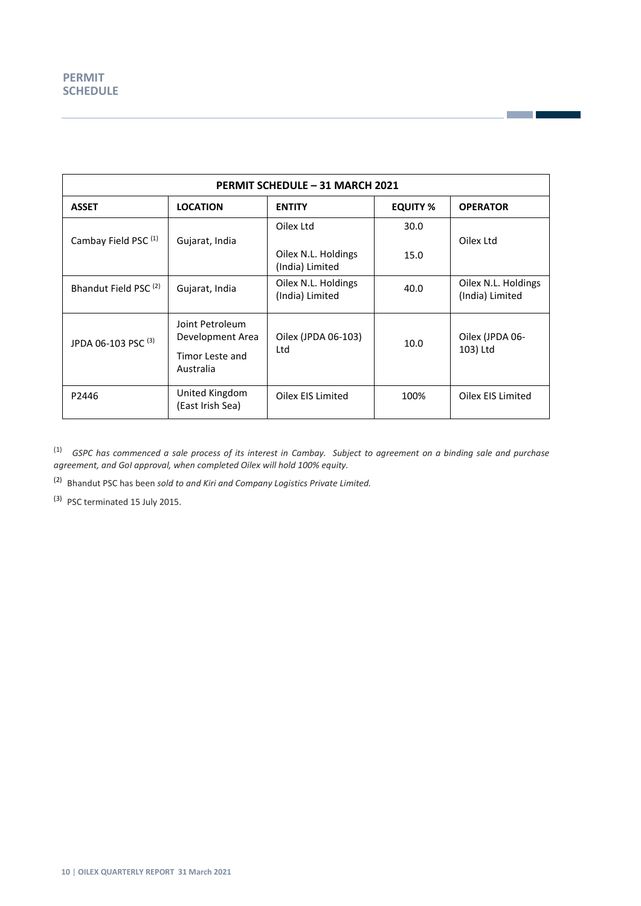| <b>PERMIT SCHEDULE - 31 MARCH 2021</b> |                                                                        |                                                           |              |                                        |  |  |  |
|----------------------------------------|------------------------------------------------------------------------|-----------------------------------------------------------|--------------|----------------------------------------|--|--|--|
| <b>ASSET</b>                           | <b>LOCATION</b><br><b>EQUITY %</b><br><b>ENTITY</b><br><b>OPERATOR</b> |                                                           |              |                                        |  |  |  |
| Cambay Field PSC <sup>(1)</sup>        | Gujarat, India                                                         | Oilex Ltd<br>Oilex N.L. Holdings                          | 30.0<br>15.0 | Oilex Ltd                              |  |  |  |
| Bhandut Field PSC <sup>(2)</sup>       | Gujarat, India                                                         | (India) Limited<br>Oilex N.L. Holdings<br>(India) Limited | 40.0         | Oilex N.L. Holdings<br>(India) Limited |  |  |  |
| JPDA 06-103 PSC <sup>(3)</sup>         | Joint Petroleum<br>Development Area<br>Timor Leste and<br>Australia    | Oilex (JPDA 06-103)<br>Ltd                                | 10.0         | Oilex (JPDA 06-<br>103) Ltd            |  |  |  |
| P2446                                  | United Kingdom<br>(East Irish Sea)                                     | Oilex EIS Limited                                         | 100%         | Oilex EIS Limited                      |  |  |  |

**Contract** 

(1) *GSPC has commenced a sale process of its interest in Cambay. Subject to agreement on a binding sale and purchase agreement, and GoI approval, when completed Oilex will hold 100% equity.*

(2) Bhandut PSC has been *sold to and Kiri and Company Logistics Private Limited.*

<sup>(3)</sup> PSC terminated 15 July 2015.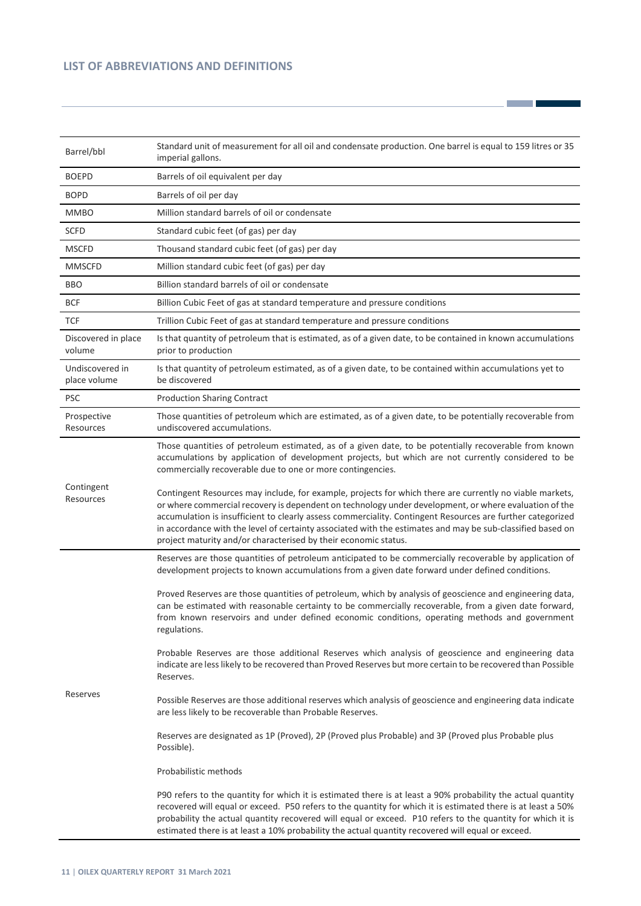#### **LIST OF ABBREVIATIONS AND DEFINITIONS**

| Barrel/bbl                      | Standard unit of measurement for all oil and condensate production. One barrel is equal to 159 litres or 35<br>imperial gallons.                                                                                                                                                                                                                                                                                                                                                                                 |
|---------------------------------|------------------------------------------------------------------------------------------------------------------------------------------------------------------------------------------------------------------------------------------------------------------------------------------------------------------------------------------------------------------------------------------------------------------------------------------------------------------------------------------------------------------|
| <b>BOEPD</b>                    | Barrels of oil equivalent per day                                                                                                                                                                                                                                                                                                                                                                                                                                                                                |
| <b>BOPD</b>                     | Barrels of oil per day                                                                                                                                                                                                                                                                                                                                                                                                                                                                                           |
| <b>MMBO</b>                     | Million standard barrels of oil or condensate                                                                                                                                                                                                                                                                                                                                                                                                                                                                    |
| <b>SCFD</b>                     | Standard cubic feet (of gas) per day                                                                                                                                                                                                                                                                                                                                                                                                                                                                             |
| <b>MSCFD</b>                    | Thousand standard cubic feet (of gas) per day                                                                                                                                                                                                                                                                                                                                                                                                                                                                    |
| <b>MMSCFD</b>                   | Million standard cubic feet (of gas) per day                                                                                                                                                                                                                                                                                                                                                                                                                                                                     |
| <b>BBO</b>                      | Billion standard barrels of oil or condensate                                                                                                                                                                                                                                                                                                                                                                                                                                                                    |
| <b>BCF</b>                      | Billion Cubic Feet of gas at standard temperature and pressure conditions                                                                                                                                                                                                                                                                                                                                                                                                                                        |
| <b>TCF</b>                      | Trillion Cubic Feet of gas at standard temperature and pressure conditions                                                                                                                                                                                                                                                                                                                                                                                                                                       |
| Discovered in place<br>volume   | Is that quantity of petroleum that is estimated, as of a given date, to be contained in known accumulations<br>prior to production                                                                                                                                                                                                                                                                                                                                                                               |
| Undiscovered in<br>place volume | Is that quantity of petroleum estimated, as of a given date, to be contained within accumulations yet to<br>be discovered                                                                                                                                                                                                                                                                                                                                                                                        |
| <b>PSC</b>                      | <b>Production Sharing Contract</b>                                                                                                                                                                                                                                                                                                                                                                                                                                                                               |
| Prospective<br>Resources        | Those quantities of petroleum which are estimated, as of a given date, to be potentially recoverable from<br>undiscovered accumulations.                                                                                                                                                                                                                                                                                                                                                                         |
|                                 | Those quantities of petroleum estimated, as of a given date, to be potentially recoverable from known<br>accumulations by application of development projects, but which are not currently considered to be<br>commercially recoverable due to one or more contingencies.                                                                                                                                                                                                                                        |
| Contingent<br>Resources         | Contingent Resources may include, for example, projects for which there are currently no viable markets,<br>or where commercial recovery is dependent on technology under development, or where evaluation of the<br>accumulation is insufficient to clearly assess commerciality. Contingent Resources are further categorized<br>in accordance with the level of certainty associated with the estimates and may be sub-classified based on<br>project maturity and/or characterised by their economic status. |
|                                 | Reserves are those quantities of petroleum anticipated to be commercially recoverable by application of<br>development projects to known accumulations from a given date forward under defined conditions.                                                                                                                                                                                                                                                                                                       |
|                                 | Proved Reserves are those quantities of petroleum, which by analysis of geoscience and engineering data,<br>can be estimated with reasonable certainty to be commercially recoverable, from a given date forward,<br>from known reservoirs and under defined economic conditions, operating methods and government<br>regulations.                                                                                                                                                                               |
|                                 | Probable Reserves are those additional Reserves which analysis of geoscience and engineering data<br>indicate are less likely to be recovered than Proved Reserves but more certain to be recovered than Possible<br>Reserves.                                                                                                                                                                                                                                                                                   |
| Reserves                        | Possible Reserves are those additional reserves which analysis of geoscience and engineering data indicate<br>are less likely to be recoverable than Probable Reserves.                                                                                                                                                                                                                                                                                                                                          |
|                                 | Reserves are designated as 1P (Proved), 2P (Proved plus Probable) and 3P (Proved plus Probable plus<br>Possible).                                                                                                                                                                                                                                                                                                                                                                                                |
|                                 | Probabilistic methods                                                                                                                                                                                                                                                                                                                                                                                                                                                                                            |
|                                 | P90 refers to the quantity for which it is estimated there is at least a 90% probability the actual quantity<br>recovered will equal or exceed. P50 refers to the quantity for which it is estimated there is at least a 50%<br>probability the actual quantity recovered will equal or exceed. P10 refers to the quantity for which it is<br>estimated there is at least a 10% probability the actual quantity recovered will equal or exceed.                                                                  |

<u> 1989 - Jan Barnett, fransk politiker</u>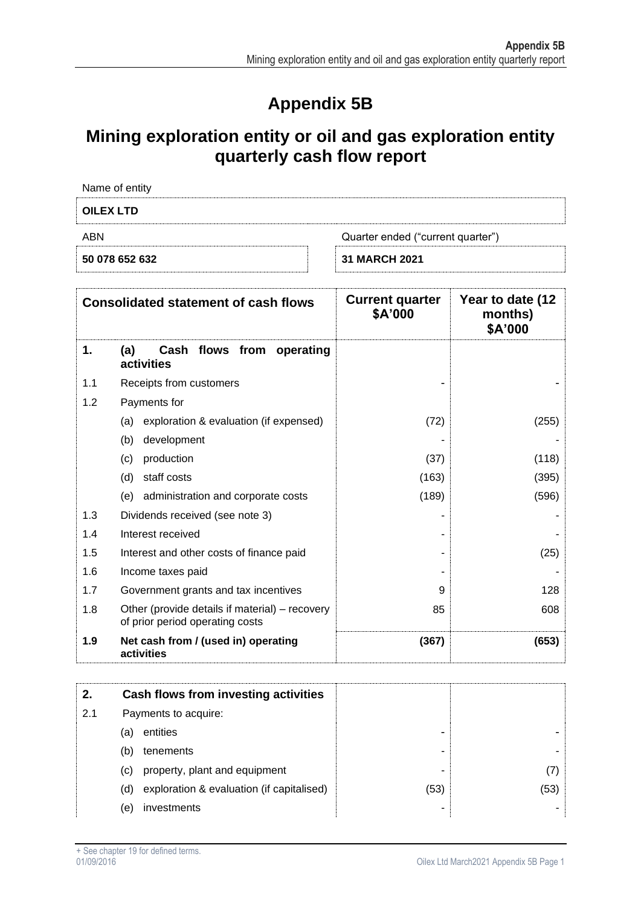## **Appendix 5B**

## **Mining exploration entity or oil and gas exploration entity quarterly cash flow report**

| Name of entity  |  |
|-----------------|--|
|                 |  |
|                 |  |
|                 |  |
| <b>OU EVITD</b> |  |

| <b>OILEX LTD</b> |                                   |  |  |  |
|------------------|-----------------------------------|--|--|--|
| ABN              | Quarter ended ("current quarter") |  |  |  |
| 50 078 652 632   | <b>31 MARCH 2021</b>              |  |  |  |

| <b>Consolidated statement of cash flows</b> |                                                                                   | <b>Current quarter</b><br>\$A'000 | Year to date (12<br>months)<br>\$A'000 |
|---------------------------------------------|-----------------------------------------------------------------------------------|-----------------------------------|----------------------------------------|
| 1.                                          | Cash flows from<br>(a)<br>operating<br>activities                                 |                                   |                                        |
| 1.1                                         | Receipts from customers                                                           |                                   |                                        |
| 1.2                                         | Payments for                                                                      |                                   |                                        |
|                                             | exploration & evaluation (if expensed)<br>(a)                                     | (72)                              | (255)                                  |
|                                             | (b)<br>development                                                                |                                   |                                        |
|                                             | production<br>(c)                                                                 | (37)                              | (118)                                  |
|                                             | staff costs<br>(d)                                                                | (163)                             | (395)                                  |
|                                             | administration and corporate costs<br>(e)                                         | (189)                             | (596)                                  |
| 1.3                                         | Dividends received (see note 3)                                                   |                                   |                                        |
| 1.4                                         | Interest received                                                                 |                                   |                                        |
| 1.5                                         | Interest and other costs of finance paid                                          |                                   | (25)                                   |
| 1.6                                         | Income taxes paid                                                                 |                                   |                                        |
| 1.7                                         | Government grants and tax incentives                                              | 9                                 | 128                                    |
| 1.8                                         | Other (provide details if material) – recovery<br>of prior period operating costs | 85                                | 608                                    |
| 1.9                                         | Net cash from / (used in) operating<br>activities                                 | (367)                             | (653)                                  |

|     |     | Cash flows from investing activities      |      |      |
|-----|-----|-------------------------------------------|------|------|
| 2.1 |     | Payments to acquire:                      |      |      |
|     | (a) | entities                                  | -    |      |
|     | (b) | tenements                                 | -    |      |
|     | (C) | property, plant and equipment             | -    |      |
|     | (d) | exploration & evaluation (if capitalised) | (53) | (53) |
|     | (e) | investments                               | -    |      |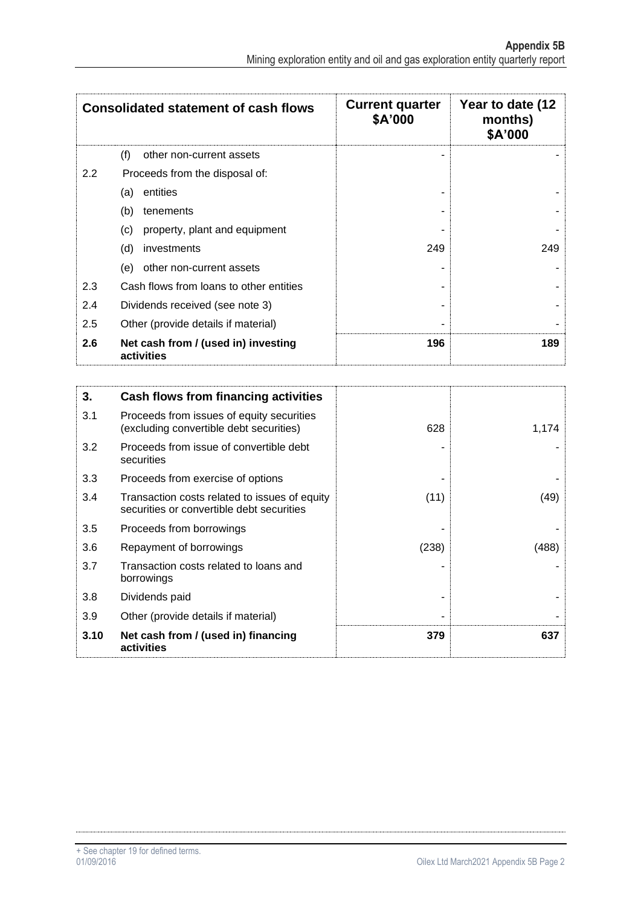| <b>Consolidated statement of cash flows</b> |                                                   | <b>Current quarter</b><br>\$A'000 | Year to date (12<br>months)<br>\$A'000 |
|---------------------------------------------|---------------------------------------------------|-----------------------------------|----------------------------------------|
|                                             | (f)<br>other non-current assets                   |                                   |                                        |
| 2.2                                         | Proceeds from the disposal of:                    |                                   |                                        |
|                                             | entities<br>(a)                                   |                                   |                                        |
|                                             | (b)<br>tenements                                  |                                   |                                        |
|                                             | (c)<br>property, plant and equipment              |                                   |                                        |
|                                             | (d)<br>investments                                | 249                               | 249                                    |
|                                             | other non-current assets<br>(e)                   |                                   |                                        |
| 2.3                                         | Cash flows from loans to other entities           |                                   |                                        |
| 2.4                                         | Dividends received (see note 3)                   |                                   |                                        |
| 2.5                                         | Other (provide details if material)               | -                                 |                                        |
| 2.6                                         | Net cash from / (used in) investing<br>activities | 196                               | 189                                    |

| 3.   | Cash flows from financing activities                                                       |       |       |
|------|--------------------------------------------------------------------------------------------|-------|-------|
| 3.1  | Proceeds from issues of equity securities<br>(excluding convertible debt securities)       | 628   | 1,174 |
| 3.2  | Proceeds from issue of convertible debt<br>securities                                      |       |       |
| 3.3  | Proceeds from exercise of options                                                          |       |       |
| 3.4  | Transaction costs related to issues of equity<br>securities or convertible debt securities | (11)  | (49)  |
| 3.5  | Proceeds from borrowings                                                                   |       |       |
| 3.6  | Repayment of borrowings                                                                    | (238) | (488) |
| 3.7  | Transaction costs related to loans and<br>borrowings                                       |       |       |
| 3.8  | Dividends paid                                                                             |       |       |
| 3.9  | Other (provide details if material)                                                        |       |       |
| 3.10 | Net cash from / (used in) financing<br>activities                                          | 379   | 637   |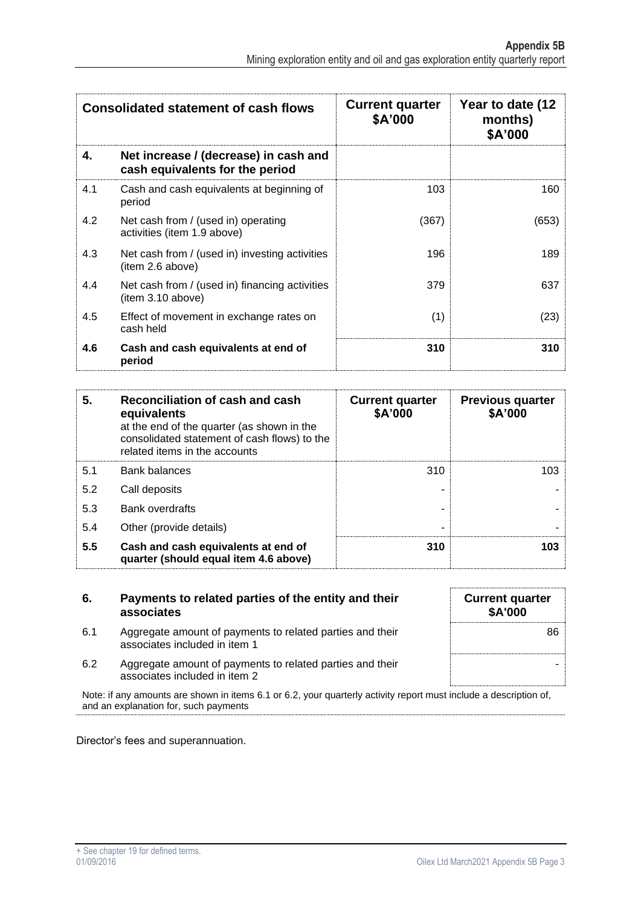| <b>Consolidated statement of cash flows</b> |                                                                          | <b>Current quarter</b><br>\$A'000 | Year to date (12<br>months)<br>\$A'000 |
|---------------------------------------------|--------------------------------------------------------------------------|-----------------------------------|----------------------------------------|
| 4.                                          | Net increase / (decrease) in cash and<br>cash equivalents for the period |                                   |                                        |
| 4.1                                         | Cash and cash equivalents at beginning of<br>period                      | 103                               | 160                                    |
| 4.2                                         | Net cash from / (used in) operating<br>activities (item 1.9 above)       | (367)                             | (653)                                  |
| 4.3                                         | Net cash from / (used in) investing activities<br>(item 2.6 above)       | 196                               | 189                                    |
| 4.4                                         | Net cash from / (used in) financing activities<br>item 3.10 above)       | 379                               | 637                                    |
| 4.5                                         | Effect of movement in exchange rates on<br>cash held                     | (1)                               | (23)                                   |
| 4.6                                         | Cash and cash equivalents at end of<br>period                            | 310                               | 310                                    |

| 5.  | Reconciliation of cash and cash<br>equivalents<br>at the end of the quarter (as shown in the<br>consolidated statement of cash flows) to the<br>related items in the accounts | <b>Current quarter</b><br>\$A'000 | <b>Previous quarter</b><br>\$A'000 |
|-----|-------------------------------------------------------------------------------------------------------------------------------------------------------------------------------|-----------------------------------|------------------------------------|
| 5.1 | <b>Bank balances</b>                                                                                                                                                          | 310                               | 103                                |
| 5.2 | Call deposits                                                                                                                                                                 |                                   |                                    |
| 5.3 | <b>Bank overdrafts</b>                                                                                                                                                        |                                   |                                    |
| 5.4 | Other (provide details)                                                                                                                                                       |                                   |                                    |
| 5.5 | Cash and cash equivalents at end of<br>quarter (should equal item 4.6 above)                                                                                                  | 310                               | 103                                |

| 6.  | Payments to related parties of the entity and their<br>associates                          | <b>Current quarter</b><br><b>\$A'000</b> |
|-----|--------------------------------------------------------------------------------------------|------------------------------------------|
| 6.1 | Aggregate amount of payments to related parties and their<br>associates included in item 1 | 86                                       |
| 6.2 | Aggregate amount of payments to related parties and their<br>associates included in item 2 |                                          |

Note: if any amounts are shown in items 6.1 or 6.2, your quarterly activity report must include a description of, and an explanation for, such payments

Director's fees and superannuation.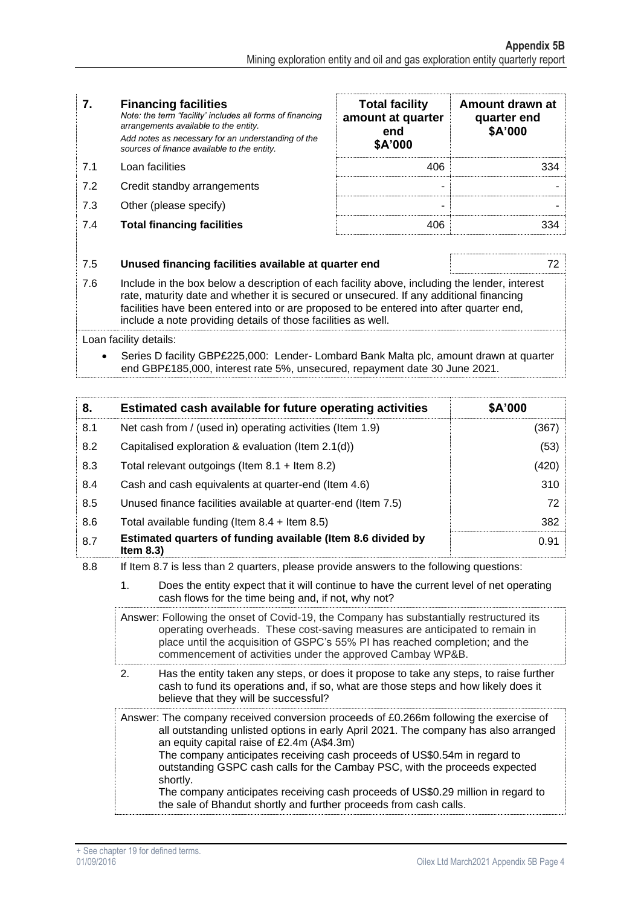#### **7. Financing facilities** *Note: the term "facility' includes all forms of financing arrangements available to the entity. Add notes as necessary for an understanding of the sources of finance available to the entity.* **Total facility amount at quarter end \$A'000 Amount drawn at quarter end \$A'000** 7.1 Loan facilities 406 334 7.2 Credit standby arrangements and the standard standard standard standard standard standard standard standard standard standard standard standard standard standard standard standard standard standard standard standard st 7.3 Other (please specify) and the set of the set of the set of the set of the set of the set of the set of the set of the set of the set of the set of the set of the set of the set of the set of the set of the set of the **7.4 Total financing facilities 19.8 and 19.8 and 19.8 and 19.8 and 19.8 and 19.8 and 19.8 and 19.8 and 19.8 and 19.8 and 19.8 and 19.8 and 19.8 and 19.8 and 19.8 and 19.8 and 19.8 and 19.8 and 19.8 and 19.8 and 19.8 and 1** 7.5 **Unused financing facilities available at quarter end** 72 7.6 Include in the box below a description of each facility above, including the lender, interest

rate, maturity date and whether it is secured or unsecured. If any additional financing facilities have been entered into or are proposed to be entered into after quarter end, include a note providing details of those facilities as well.

Loan facility details:

• Series D facility GBP£225,000: Lender- Lombard Bank Malta plc, amount drawn at quarter end GBP£185,000, interest rate 5%, unsecured, repayment date 30 June 2021.

| 8.  | Estimated cash available for future operating activities                     | \$A'000 |
|-----|------------------------------------------------------------------------------|---------|
| 8.1 | Net cash from / (used in) operating activities (Item 1.9)                    | (367)   |
| 8.2 | Capitalised exploration & evaluation (Item 2.1(d))                           | (53)    |
| 8.3 | Total relevant outgoings (Item $8.1 +$ Item $8.2$ )                          | (420)   |
| 8.4 | Cash and cash equivalents at quarter-end (Item 4.6)                          | 310     |
| 8.5 | Unused finance facilities available at quarter-end (Item 7.5)                | 72      |
| 8.6 | Total available funding (Item $8.4 +$ Item $8.5$ )                           | 382     |
| 8.7 | Estimated quarters of funding available (Item 8.6 divided by<br>Item $8.3$ ) | 0.91    |

8.8 If Item 8.7 is less than 2 quarters, please provide answers to the following questions:

1. Does the entity expect that it will continue to have the current level of net operating cash flows for the time being and, if not, why not?

Answer: Following the onset of Covid-19, the Company has substantially restructured its operating overheads. These cost-saving measures are anticipated to remain in place until the acquisition of GSPC's 55% PI has reached completion; and the commencement of activities under the approved Cambay WP&B.

2. Has the entity taken any steps, or does it propose to take any steps, to raise further cash to fund its operations and, if so, what are those steps and how likely does it believe that they will be successful?

Answer: The company received conversion proceeds of £0.266m following the exercise of all outstanding unlisted options in early April 2021. The company has also arranged an equity capital raise of £2.4m (A\$4.3m) The company anticipates receiving cash proceeds of US\$0.54m in regard to outstanding GSPC cash calls for the Cambay PSC, with the proceeds expected shortly. The company anticipates receiving cash proceeds of US\$0.29 million in regard to the sale of Bhandut shortly and further proceeds from cash calls.